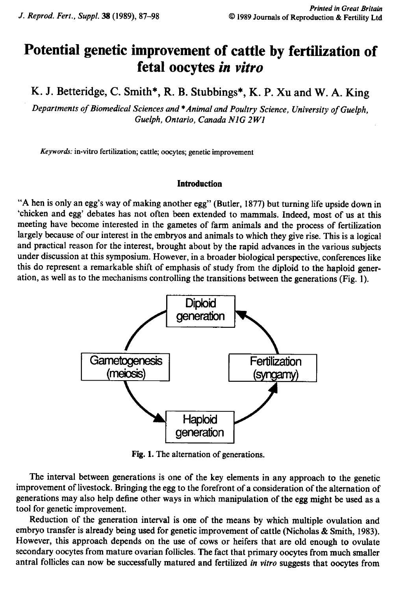# Potential genetic improvement of cattle by fertilization of fetal oocytes in vitro

K. J. Betteridge, C. Smith\*, R. B. Stubbings\*, K. P. Xu and W.A. King

Departments of Biomedical Sciences and \* Animal and Poultry Science, University of Guelph, Guelph, Ontario, Canada NIG 2W1

Keywords: in-vitro fertilization; cattle; oocytes; genetic improvement

# **Introduction**

'A hen is only an egg's way of making another egg" (Butler, 1877) but turning life upside downin 'chicken and egg' debates has not often been extended to mammals. Indeed, most of us at this meeting have become interested in the gametes of farm animals and the process of fertilization largely because of our interest in the embryos and animals to which they give rise. This is a logical and practical reason for the interest, brought about by the rapid advances in the various subjects under discussion at this symposium. However, in a broader biological perspective, conferences like this do represent a remarkable shift of emphasis of study from the diploid to the haploid generation, as well as to the mechanismscontrolling the transitions between the generations(Fig.1). Introduction<br>
unother egg" (Butle<br>
n been extended to<br>
gametes of farm a<br>
bryos and animals<br>
bught about by the<br>
wever, in a broader<br>
emphasis of study<br>
rolling the transition egg's way of making and<br>
debates has not often<br>
come interested in the g<br>
f our interest in the emb<br>
son for the interest, brown<br>
a remarkable shift of e<br>
o the mechanisms contr<br>
do the mechanisms contr tler, 1877) but turning lite<br>to mammals. Indeed, n<br>animals and the proce<br>ls to which they give rise<br>he rapid advances in the<br>er biological perspective<br>ly from the diploid to tl<br>tions between the general



Fig. 1. The alternation of generations.

The interval between generations is one of the key elements in any approach to the genetic improvement of livestock. Bringing the egg to the forefront of a consideration of the alternation of generations may also help define other ways in which manipulation of the egg might be used as a tool for genetic improvement.

Reduction of the generation interval is one of the means by which multiple ovulation and embryo transfer is already being used for genetic improvement of cattle (Nicholas & Smith, 1983). However, this approach depends on the use of cows or heifers that are old enough to ovulate secondary oocytes from mature ovarian follicles. The fact that primary oocytes from much smaller antral follicles can now be successfully matured and fertilized in vitro suggests that oocytes from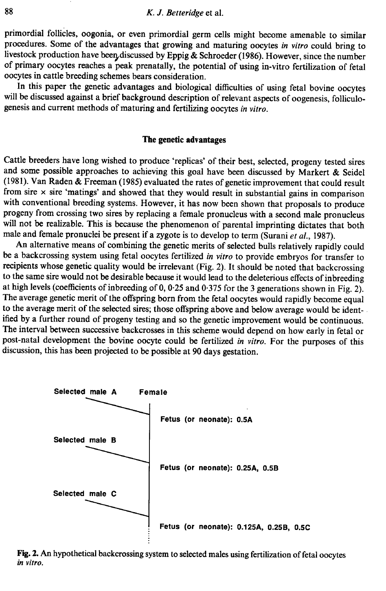primordial follicles, oogonia, or even primordial germ cells might become amenable to similar procedures. Some of the advantages that growing and maturing oocytes in vitro could bring to livestock production have been discussed by Eppig & Schroeder (1986). However, since the number of primary oocytes reaches a peak prenatally, the potential of using in-vitro fertilization of fetal oocytes in cattle breeding schemes bears consideration.

will be discussed against a brief background description of relevant aspects of oogenesis, folliculogenesis and current methods of maturing and fertilizing oocytes in vitro.

#### The genetic advantages

Cattle breeders have long wished to produce 'replicas' of their best, selected, progeny tested sires and some possible approaches to achieving this goal have been discussed by Markert & Seidel (1981). Van Raden & Freeman (1985) evaluated the rates of genetic improvement that could result from sire  $\times$  sire 'matings' and showed that they would result in substantial gains in comparison with conventional breeding systems. However, it has now been shown that proposals to produce progeny from crossing two sires by replacing a female pronucleus with a second male pronucleus will not be realizable. This is because the phenomenon of parental imprinting dictates that both male and female pronuclei be present if a zygote is to develop to term (Surani et al., 1987).<br>An alternative means of combining the genetic merits of selected bulls relatively rapidly could

be a backcrossing system using fetal oocytes fertilized in vitro to provide embryos for transfer to recipients whose genetic quality would be irrelevant (Fig. 2). It should be noted that backcrossing to the same sire would not be desirable because it would lead to the deleterious effects of inbreeding at high levels (coefficients of inbreeding of 0, 0-25 and 0-375 for the 3 generations shownin Fig.2). The average genetic merit of the offspring born from the fetal oocytes would rapidly become equal to the average merit of the selected sires; those offspring above and below average would be identified by a further round of progeny testing and so the genetic improvement would be continuous. The interval between successive backcrosses in this scheme would depend on how early in fetal or post-natal development the bovine oocyte could be fertilized in vitro. For the purposes of this discussion, this has been projected to be possible at 90 days gestation.



Fig. 2. An hypothetical backcrossing system to selected males using fertilization of fetal oocytes in vitro.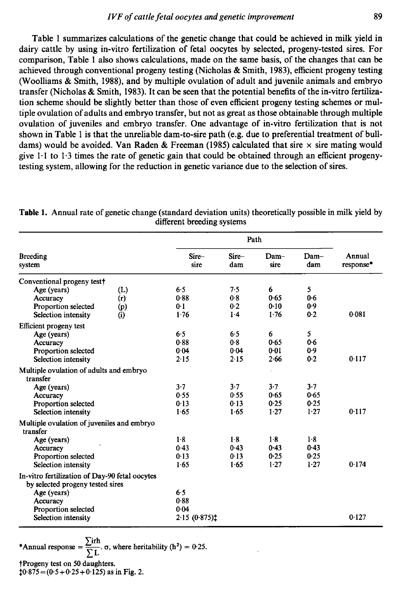Table <sup>1</sup> summarizes calculations of the genetic change that could be achieved in milk yield in dairy cattle by using in-vitro fertilization of fetal oocytes by selected, progeny-tested sires. For comparison. Table I also shows calculations, made on the same basis, of the changes that can be achieved through conventional progeny testing (Nicholas & Smith, 1983), efficient progeny testing (Woolliams & Smith, 1988), and by multiple ovulation of adult and juvenile animals and embryo transfer (Nicholas & Smith, 1983). It can be seen that the potential benefits of the in-vitro fertilization scheme should be slightly better than those of even efficient progeny testing schemes or multiple ovulation of adults and embryo transfer, but not as great as those obtainable through multiple ovulation of juveniles and embryo transfer. One advantage of in-vitro fertilization that is not shown in Table 1 is that the unreliable dam-to-sire path (e.g. due to preferential treatment of bulldams) would be avoided. Van Raden & Freeman (1985) calculated that sire  $\times$  sire mating would give  $1 \cdot 1$  to  $1 \cdot 3$  times the rate of genetic gain that could be obtained through an efficient progenytesting system, allowing for the reduction in genetic variance due to the selection of sires. *IVF of cattle fetal occytes and genetic improvement* 89<br>
Table 1 summarizes calculations of the genetic change that could be achieved in milk yield in<br>
dairy cattle by using in-vitro fertilization of fetal occytes by sel *IVF of cattle fetal oocytes and genetic improvement* 89<br>Table 1 summarizes calculations of the genetic change that could be achieved in milk yield in<br>dairy catte by using in-vitro fertilization of fetal oocytes by select solution and genetic improvement<br>of equality improvement<br>of fetal occytes by selected, progeny-test<br>ons, made on the same basis, of the change<br>sting (Nicholas & Smith, 1983), efficient pro-<br>ple ovulation of adult and juve

| Table 1 summarizes calculations of the genetic change that could be achieved in milk yield in<br>dairy cattle by using in-vitro fertilization of fetal oocytes by selected, progeny-tested sires. For<br>comparison, Table 1 also shows calculations, made on the same basis, of the changes that can be                                                                                                                                                                                                                                                                                                                                                                                                                                                                                                                                                                                                                                                                                                                                                                                                                                                            | IVF of cattle fetal oocytes and genetic improvement |              |                |                |                     |
|---------------------------------------------------------------------------------------------------------------------------------------------------------------------------------------------------------------------------------------------------------------------------------------------------------------------------------------------------------------------------------------------------------------------------------------------------------------------------------------------------------------------------------------------------------------------------------------------------------------------------------------------------------------------------------------------------------------------------------------------------------------------------------------------------------------------------------------------------------------------------------------------------------------------------------------------------------------------------------------------------------------------------------------------------------------------------------------------------------------------------------------------------------------------|-----------------------------------------------------|--------------|----------------|----------------|---------------------|
|                                                                                                                                                                                                                                                                                                                                                                                                                                                                                                                                                                                                                                                                                                                                                                                                                                                                                                                                                                                                                                                                                                                                                                     |                                                     |              |                |                | 89                  |
|                                                                                                                                                                                                                                                                                                                                                                                                                                                                                                                                                                                                                                                                                                                                                                                                                                                                                                                                                                                                                                                                                                                                                                     |                                                     |              |                |                |                     |
|                                                                                                                                                                                                                                                                                                                                                                                                                                                                                                                                                                                                                                                                                                                                                                                                                                                                                                                                                                                                                                                                                                                                                                     |                                                     |              |                |                |                     |
|                                                                                                                                                                                                                                                                                                                                                                                                                                                                                                                                                                                                                                                                                                                                                                                                                                                                                                                                                                                                                                                                                                                                                                     |                                                     |              |                |                |                     |
| achieved through conventional progeny testing (Nicholas & Smith, 1983), efficient progeny testing<br>(Woolliams & Smith, 1988), and by multiple ovulation of adult and juvenile animals and embryo<br>transfer (Nicholas & Smith, 1983). It can be seen that the potential benefits of the in-vitro fertiliza-<br>tion scheme should be slightly better than those of even efficient progeny testing schemes or mul-<br>tiple ovulation of adults and embryo transfer, but not as great as those obtainable through multiple<br>ovulation of juveniles and embryo transfer. One advantage of in-vitro fertilization that is not<br>shown in Table 1 is that the unreliable dam-to-sire path (e.g. due to preferential treatment of bull-<br>dams) would be avoided. Van Raden & Freeman (1985) calculated that sire $\times$ sire mating would<br>give 1.1 to 1.3 times the rate of genetic gain that could be obtained through an efficient progeny-<br>testing system, allowing for the reduction in genetic variance due to the selection of sires.<br>Table 1. Annual rate of genetic change (standard deviation units) theoretically possible in milk yield by | different breeding systems                          |              |                |                |                     |
|                                                                                                                                                                                                                                                                                                                                                                                                                                                                                                                                                                                                                                                                                                                                                                                                                                                                                                                                                                                                                                                                                                                                                                     |                                                     | Path         |                |                |                     |
| <b>Breeding</b><br>system                                                                                                                                                                                                                                                                                                                                                                                                                                                                                                                                                                                                                                                                                                                                                                                                                                                                                                                                                                                                                                                                                                                                           | Sire-<br>sire                                       | Sire-<br>dam | Dam-<br>sire   | Dam-<br>dam    | Annual<br>response* |
|                                                                                                                                                                                                                                                                                                                                                                                                                                                                                                                                                                                                                                                                                                                                                                                                                                                                                                                                                                                                                                                                                                                                                                     |                                                     |              |                |                |                     |
| Conventional progeny test†                                                                                                                                                                                                                                                                                                                                                                                                                                                                                                                                                                                                                                                                                                                                                                                                                                                                                                                                                                                                                                                                                                                                          |                                                     |              |                |                |                     |
| Age (years)<br>(L)                                                                                                                                                                                                                                                                                                                                                                                                                                                                                                                                                                                                                                                                                                                                                                                                                                                                                                                                                                                                                                                                                                                                                  | 6.5<br>0.88                                         | 7.5<br>0.8   | 6<br>0.65      | 5<br>0.6       |                     |
| Accuracy<br>(r)<br>Proportion selected<br>(p)                                                                                                                                                                                                                                                                                                                                                                                                                                                                                                                                                                                                                                                                                                                                                                                                                                                                                                                                                                                                                                                                                                                       | 0-1                                                 | 0.2          | 0.10           | 0.9            |                     |
| Selection intensity<br>(i)                                                                                                                                                                                                                                                                                                                                                                                                                                                                                                                                                                                                                                                                                                                                                                                                                                                                                                                                                                                                                                                                                                                                          | 1.76                                                | 1.4          | 1.76           | 0.2            | 0.081               |
| Efficient progeny test<br>Age (years)                                                                                                                                                                                                                                                                                                                                                                                                                                                                                                                                                                                                                                                                                                                                                                                                                                                                                                                                                                                                                                                                                                                               | 6.5                                                 | 65           | 6              | 5              |                     |
| Accuracy                                                                                                                                                                                                                                                                                                                                                                                                                                                                                                                                                                                                                                                                                                                                                                                                                                                                                                                                                                                                                                                                                                                                                            | 0.88<br>0.04                                        | 0.8<br>0.04  | 0.65<br>0.01   | 0.6<br>0.9     |                     |
| Proportion selected<br>Selection intensity                                                                                                                                                                                                                                                                                                                                                                                                                                                                                                                                                                                                                                                                                                                                                                                                                                                                                                                                                                                                                                                                                                                          | 2.15                                                | 2.15         | 2.66           | 0.2            | 0.117               |
| Multiple ovulation of adults and embryo                                                                                                                                                                                                                                                                                                                                                                                                                                                                                                                                                                                                                                                                                                                                                                                                                                                                                                                                                                                                                                                                                                                             |                                                     |              |                |                |                     |
| transfer<br>Age (years)                                                                                                                                                                                                                                                                                                                                                                                                                                                                                                                                                                                                                                                                                                                                                                                                                                                                                                                                                                                                                                                                                                                                             | 3.7                                                 | 3.7          | 3.7            | $3 - 7$        |                     |
| Accuracy                                                                                                                                                                                                                                                                                                                                                                                                                                                                                                                                                                                                                                                                                                                                                                                                                                                                                                                                                                                                                                                                                                                                                            | 0.55                                                | 0.55         | 0.65           | 0.65           |                     |
| Proportion selected<br>Selection intensity                                                                                                                                                                                                                                                                                                                                                                                                                                                                                                                                                                                                                                                                                                                                                                                                                                                                                                                                                                                                                                                                                                                          | 0.13<br>1.65                                        | 0.13<br>1.65 | 0.25<br>$1-27$ | 0.25<br>1.27   | 0.117               |
| Multiple ovulation of juveniles and embryo                                                                                                                                                                                                                                                                                                                                                                                                                                                                                                                                                                                                                                                                                                                                                                                                                                                                                                                                                                                                                                                                                                                          |                                                     |              |                |                |                     |
| transfer                                                                                                                                                                                                                                                                                                                                                                                                                                                                                                                                                                                                                                                                                                                                                                                                                                                                                                                                                                                                                                                                                                                                                            | $1-8$                                               | 1.8          | $1-8$          | 1.8            |                     |
| Age (years)<br>Accuracy                                                                                                                                                                                                                                                                                                                                                                                                                                                                                                                                                                                                                                                                                                                                                                                                                                                                                                                                                                                                                                                                                                                                             | 0.43                                                | 0.43         | 0.43           | 0.43           |                     |
| Proportion selected<br>Selection intensity                                                                                                                                                                                                                                                                                                                                                                                                                                                                                                                                                                                                                                                                                                                                                                                                                                                                                                                                                                                                                                                                                                                          | 0.13<br>1.65                                        | 0.13<br>1.65 | 0.25<br>1.27   | 0.25<br>$1-27$ | 0.174               |
|                                                                                                                                                                                                                                                                                                                                                                                                                                                                                                                                                                                                                                                                                                                                                                                                                                                                                                                                                                                                                                                                                                                                                                     |                                                     |              |                |                |                     |
| In-vitro fertilization of Day-90 fetal oocytes<br>by selected progeny tested sires                                                                                                                                                                                                                                                                                                                                                                                                                                                                                                                                                                                                                                                                                                                                                                                                                                                                                                                                                                                                                                                                                  |                                                     |              |                |                |                     |
| Age (years)<br>Accuracy<br>Proportion selected                                                                                                                                                                                                                                                                                                                                                                                                                                                                                                                                                                                                                                                                                                                                                                                                                                                                                                                                                                                                                                                                                                                      | 6.5<br>0.88<br>0.04                                 |              |                |                |                     |

Table 1. Annual rate of genetic change (standard deviation units) theoretically possible in milk yield by different breeding systems

\*Annual response =  $\frac{\sum irh}{\sum L}$ ,  $\sigma$ , where heritability (h<sup>2</sup>) = 0.25. Progenytest on 50 daughters.

 $10.875 = (0.5 + 0.25 + 0.125)$  as in Fig. 2.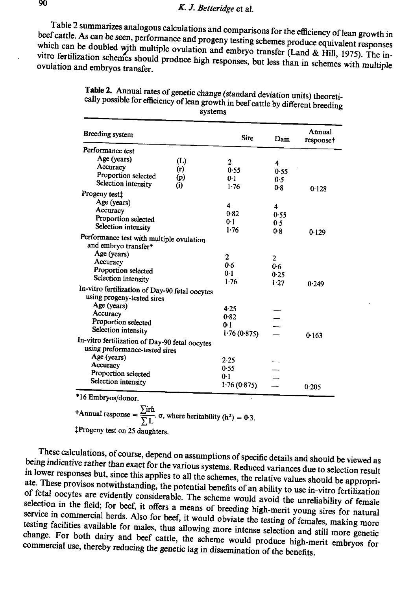beef cattle. As can be seen, performance and progeny testing schemes produce equivalent responses<br>which can be doubled with multiple symbolics in the sense of progeny testing schemes produce equivalent responses Table 2 summarizes analogous calculations and comparisons for the efficiency of lean growth in  $\epsilon$ which can be doubled with multiple ovulation and embryo transfer (Land & Hill, 1975). The in-<br>vitro fertilization schemes should preduce it is also transfer (Land & Hill, 1975). The invitro fertilization schemes should produce high responses, but less than in schemes with multiple ovulation and embryos transfer. ovulation and embryos transfer. K. J. Betteridge et al.<br>
ummarizes analogous calculations and comparisons for the efficiency of<br>
a can be seen, performance and progeny testing schemes produce equiva<br>
e doubled with multiple ovulation and embryo transfer *K. J. Betteridge* et al.<br>
ummarizes analogous calculations and comparisons for the efficiency of<br>
s can be seen, performance and progeny testing schemes produce equiva<br>
et doubled with multiple ovulation and embryo transf

| 2 summarizes analogous calculations and comparisons for the efficiency of<br>As can be seen, performance and progeny testing schemes produce equival<br>be doubled with multiple ovulation and embryo transfer (Land & Hill, |            | K. J. Betteridge et al.                                                            |              |                     |
|------------------------------------------------------------------------------------------------------------------------------------------------------------------------------------------------------------------------------|------------|------------------------------------------------------------------------------------|--------------|---------------------|
| and embryos transfer.<br>Table 2. Annual rates of genetic change (standard deviation units) theoreti<br>cally possible for efficiency of lean growth in beef cattle by different breeding                                    |            | ization schemes should produce high responses, but less than in schemes<br>systems |              |                     |
| Breeding system                                                                                                                                                                                                              |            | Sire                                                                               | Dam          | Annual<br>response† |
| Performance test                                                                                                                                                                                                             |            |                                                                                    |              |                     |
| Age (years)                                                                                                                                                                                                                  | (L)        | 2                                                                                  | 4            |                     |
| Accuracy<br>Proportion selected                                                                                                                                                                                              | (r)        | 0.55                                                                               | 0.55         |                     |
| Selection intensity                                                                                                                                                                                                          | (p)<br>(i) | 0.1<br>1.76                                                                        | 0.5          |                     |
| Progeny test‡                                                                                                                                                                                                                |            |                                                                                    | 0.8          | 0.128               |
| Age (years)                                                                                                                                                                                                                  |            | 4                                                                                  |              |                     |
| Accuracy                                                                                                                                                                                                                     |            | 0.82                                                                               | 4<br>0.55    |                     |
|                                                                                                                                                                                                                              |            | 0 1                                                                                | 0.5          |                     |
| Proportion selected                                                                                                                                                                                                          |            |                                                                                    |              |                     |
| Selection intensity                                                                                                                                                                                                          |            | 1.76                                                                               | 0.8          |                     |
| Performance test with multiple ovulation                                                                                                                                                                                     |            |                                                                                    |              | 0.129               |
| and embryo transfer*<br>Age (years)                                                                                                                                                                                          |            |                                                                                    |              |                     |
| Accuracy                                                                                                                                                                                                                     |            | 2<br>0.6                                                                           | 2            |                     |
| Proportion selected                                                                                                                                                                                                          |            | 0.1                                                                                | 0.6          |                     |
| Selection intensity                                                                                                                                                                                                          |            | $1-76$                                                                             | 0.25<br>1.27 |                     |
|                                                                                                                                                                                                                              |            |                                                                                    |              | 0.249               |
| using progeny-tested sires<br>Age (years)                                                                                                                                                                                    |            |                                                                                    |              |                     |
| Accuracy                                                                                                                                                                                                                     |            | 4.25<br>0.82                                                                       |              |                     |
| Proportion selected                                                                                                                                                                                                          |            | 0-1                                                                                |              |                     |
| Selection intensity                                                                                                                                                                                                          |            | 1.76(0.875)                                                                        |              | 0.163               |
| using preformance-tested sires                                                                                                                                                                                               |            |                                                                                    |              |                     |
| Age (years)                                                                                                                                                                                                                  |            | 2.25                                                                               |              |                     |
| In-vitro fertilization of Day-90 fetal oocytes<br>In-vitro fertilization of Day-90 fetal oocytes<br>Accuracy                                                                                                                 |            | 0.55                                                                               |              |                     |
| Proportion selected<br>Selection intensity                                                                                                                                                                                   |            | 0-1<br>1.76(0.875)                                                                 |              |                     |

| Table 2. Annual rates of genetic change (standard deviation units) theoreti-<br>cally possible for efficiency of lean growth in beef cattle by different breeding<br>systems |
|------------------------------------------------------------------------------------------------------------------------------------------------------------------------------|
|------------------------------------------------------------------------------------------------------------------------------------------------------------------------------|

\*16 Embryos/donor.

 $\dagger$ Annual response =  $\frac{\sum irh}{\sum L}$ .  $\sigma$ , where heritability (h<sup>2</sup>) = 0.3. {Progenytest on 25 daughters.

being indicative rather than exact for the various systems. Reduced variances due to selection result<br>in lower responses but since this early with the various systems. Reduced variances due to selection result These calculations, of course, depend on assumptions of specific details and should be viewed as in lower in lower responses but, since this applies to all the schemes, the relative values should be appropri-<br>ate. These provisos notwithstanding, the notativily like schemes, the relative values should be appropriate. These provisos notwithstanding, the potential benefits of an ability to use in-vitro fertilization<br>of fetal oocytes are evidently considerable. The potential benefits of an ability to use in-vitro fertilization selection fetal oocytes are evidently considerable. The scheme would avoid the unreliability of female selection in the field; for beef, it offers a means of breeding high-merit young sires for natural<br>service in commercial herds. Also for book it would not beeding high-merit young sires for natural testing facilities available for males, thus allowing more intense selection and still more genetic<br>change. For both dairy and has used with a subsequently more intense selection and still more genetic service in commercial herds. Also for beef, it would obviate the testing of females, making more change. For both dairy and beef cattle, the scheme would produce high-merit embryos for commercial use, thereby reducing the genetic lag in dissemination of the benefits. commercial use, thereby reducing the genetic lag in dissemination of the benefits.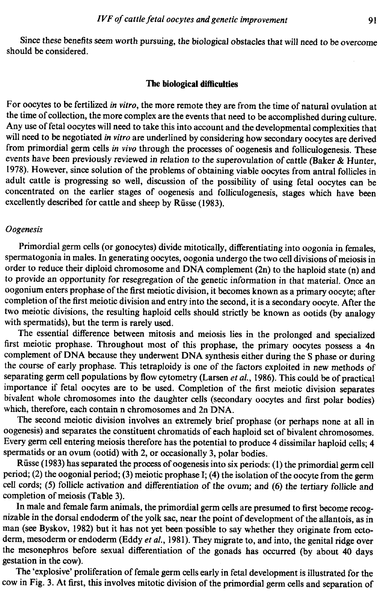Since these benefits seem worth pursuing, the biological obstacles that will need to be overcome should be considered.

# The biological difficulties

For oocytes to be fertilized *in vitro*, the more remote they are from the time of natural ovulation at the time of collection, the more complex are the events that need to be accomplished during culture.<br>Any use of fetal excellently described for cattle and sheep by Rüsse (1983).

## **O**ogenesis

Primordial germ cells (or gonocytes) divide mitotically, differentiating into oogonia in females, spermatogonia in males. In generating oocytes, oogonia undergo the two cell divisions of meiosis in order to reduce their di two meiotic divisions, the resulting haploid cells should strictly be knownas ootids (by analogy with spermatids), but the term is rarely used.

The essential difference between mitosis and meiosis lies in the prolonged and specialized first meiotic prophase. Throughout most of this prophase, the primary oocytes possess a 4n complement of DNA because they underwent DNA synthesis either during the S phase or during the course of early prophase. This tetraploidy is one of the factors exploited in new methods of separating germ cell populations by flow cytometry (Larsen et al., 1986). This could be of practical importance if fetal oocytes are to be used. Completion of the first meiotic division separates bivalent whole chromosomes into the daughter cells (secondary oocytes and first polar bodies) which, therefore, each contain n chromosomes and 2n DNA.

The second meiotic division involves an extremely brief prophase (or perhaps noneat all in oogenesis) and separates the constituent chromatids of each haploid set of bivalent chromosomes. Every germ cell entering meiosis therefore has the potential to produce 4 dissimilar haploid cells; 4 spermatids or an ovum (ootid) with 2, or occasionally 3, polar bodies.

Riisse (1983) has separated the process of oogenesis into six periods: (1) the primordial germ cell period; (2) the oogonial period; (3) meiotic prophase I; (4) the isolation of the oocyte from the germ cell cords; (5) follicle activation and differentiation of the ovum; and (6) the tertiary follicle and completion of meiosis (Table 3).

In male and female farm animals, the primordial germ cells are presumed to first become recognizable in the dorsal endoderm of the yolk sac, near the point of development of the allantois, as in man (see Byskov, 1982) but it has not yet been possible to say whether they originate from ectoderm, mesoderm or endoderm (Eddy et al., 1981). They migrate to, and into, the genital ridge over the mesonephros before sexual differentiation of the gonads has occurred (by about 40 days gestation in the cow).

The 'explosive' proliferation of female germ cells early in fetal development is illustrated for the cow in Fig. 3. At first, this involves mitotic division of the primordial germ cells and separation of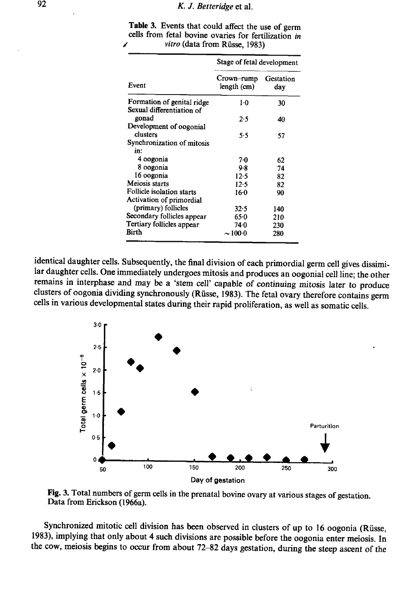|                                                                                                           | K. J. Betteridge et al.    |                  |
|-----------------------------------------------------------------------------------------------------------|----------------------------|------------------|
| Table 3. Events that could affect the use of germ<br>cells from fetal bovine ovaries for fertilization in |                            |                  |
| vitro (data from Rüsse, 1983)                                                                             | Stage of fetal development |                  |
| Event                                                                                                     | Crown–rump<br>length (cm)  | Gestation<br>day |
| Formation of genital ridge                                                                                | ı٠o                        | 30               |
| Sexual differentiation of<br>gonad                                                                        | 2.5                        | 40               |
| Development of oogonial<br>clusters<br>Synchronization of mitosis                                         | 5.5                        | 57               |
| in:<br>4 oogonia                                                                                          | $7-0$                      |                  |
| 8 oogonia                                                                                                 | 9.8                        | 62<br>74         |
| 16 oogonia                                                                                                | 12.5                       | 82               |
| Meiosis starts<br>Follicle isolation starts                                                               | 12.5<br>16.0               | 82<br>90         |
| Activation of primordial                                                                                  |                            |                  |
| (primary) follicles                                                                                       | 32-5                       | 140              |
| Secondary follicles appear<br>Tertiary follicles appear                                                   | 65∙0<br>74.0               | 210<br>230       |

Table 3. Events that could affect the use of germ cells from fetal bovine ovaries for fertilization in K. J. Betteridge et al.<br>
Table 3. Events that could affect the use of germ<br>
cells from fetal bovine ovaries for fertilization in<br>
vitro (data from Rüsse, 1983) vitro (data from Riisse, 1983)

identical daughter cells. Subsequently, the final division of each primordial germ cell gives dissimilar daughter cells. One immediately undergoes mitosis and produces an oogonial cell line; the other remains in interphase



Fig. 3. Total numbers of germ cells in the prenatal bovine ovary at various stages of gestation. Data from Erickson (1966a).

Synchronized mitotic cell division has been observed in clusters of up to 16 oogonia (Rüsse, 1983), implying that only about 4 such divisions are possible before the oogonia enter meiosis. In the cow, meiosis begins to occ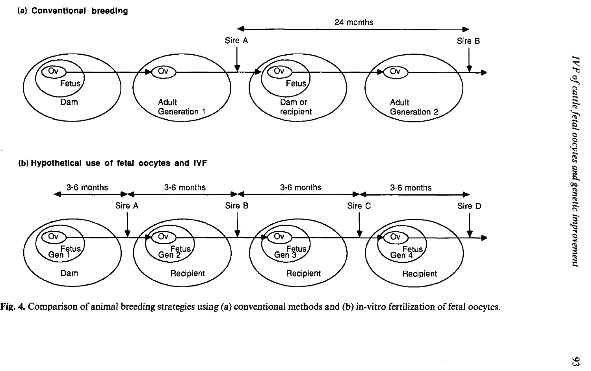(a) Conventional breeding



(b) Hypothetical use of fetal oocytes and IVF



Fig. 4. Comparison of animal breeding strategies using (a) conventional methods and (b) in-vitro fertilization of fetal oocytes.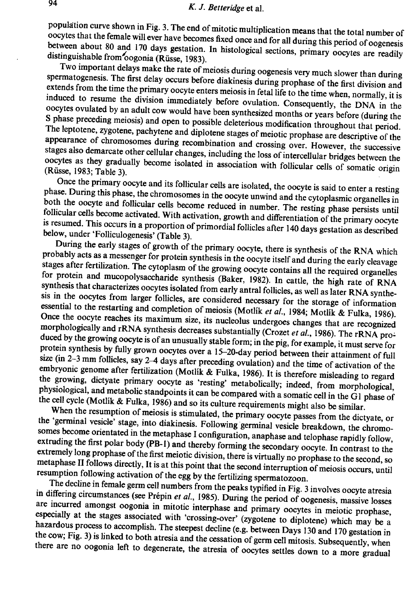oocytes that the population curve population curve shown in Fig. 3. The end of mitotic multiplication means that the total number of<br>occytes that the female will ever have becomes fixed once and for all during this period of oogenesis<br>between about 80 and

extends from the time the primary oocyte enters meiosis in fetal life to the time when, normally, it is Two important delays make the rate of meiosis during oogenesis very much slower than during spermatogenesis. The first delay occurs before diakinesis during prophase of the first division and induced to resume the division immediately before ovulation. Consequently, the DNA in the oocytes ovulated by an adult cow would have been synthesized months or years before (during the S phase ovulated by an adult cow would have been synthesized months or years before (during the preceding meiosis) and open to possible deleterious modification throughout that period. appearance The leptotene, zygotene, pachytene and diplotene stages of meiotic prophase are descriptive of the appearance of chromosomes during recombination and crossing over. However, the successive stages also demarcate other collu oocytes stages also demarcate other cellular changes, including the loss of intercellular bridges between the oocytes as they gradually become isolated in association with follicular cells of somatic origin (Rüsse, 1983; Table 3).

Once the primary oocyte and its follicular cells are isolated, the oocyte is said to enter a resting phase. During this phase, the chromosomes in the oocyte unwind and the cytoplasmic organelles in both the oocyte and follicular cells become reduced in number. The resting phase persists until follicular cells become activated. With activation, growth and differentiation of the primary oocyte

is resumed. This occurs in a proportion of primordial follicles after 140 days gestation as described<br>below, under 'Folliculogenesis' (Table 3).<br>During the early stages of growth of the primary oocyte, there is synthesis o synthesis that characterizes oocytes isolated from early antral follicles, as well as later RNA synthesis in the oocytes from larger follicles, are considered necessary for the storage of information essential to the restarting and completion of meiosis (Motlik *et al.*, 1984; Motlik & Fulka, 1986).<br>Once the oocyte reaches its maximum size, its nucleolus undergoes changes that are recognized<br>morphologically and rRNA s embryonic size (in 2–3 mm follicles, say 2–4 days after preceding ovulation) and the time of activation of the<br>embryonic genome after fertilization (Motlik & Fulka, 1986). It is therefore misleading to regard<br>the growing, dictyate physiological, and metabolic standpoints it can be compared with a somatic cell in the G1 phase of the cell cycle (Motlik & Fulka, 1986) and so its culture requirements might also be similar.

the growing, dictyate primary oocyte as 'resting' metabolically; indeed, from morphological, physiological, and metabolic standpoints it can be compared with a somatic cell in the G1 phase of the cell cycle (Motlik & Fulka metaphase II follows directly, It is at this point that the second interruption of meiosis occurs, until resumption following activation of the egg by the fertilizing spermatozoon.

The decline in female germ cell numbers from the peaks typified in Fig. 3 involves oocyte atresia<br>in differing circumstances (see Prépin et al., 1985). During the period of oogenesis, massive losses<br>are incurred amongst oo hazardous process to accomplish. The steepest decline (e.g. between Days 130 and 170 gestation in especially at the stages associated with 'crossing-over' (zygotene to diplotene) which may be <sup>a</sup> the cow; Fig. 3) is linked to both atresia and the cessation of germ cell mitosis. Subsequently, when there are no oogonia left to degenerate, the atresia of oocytes settles down to a more gradual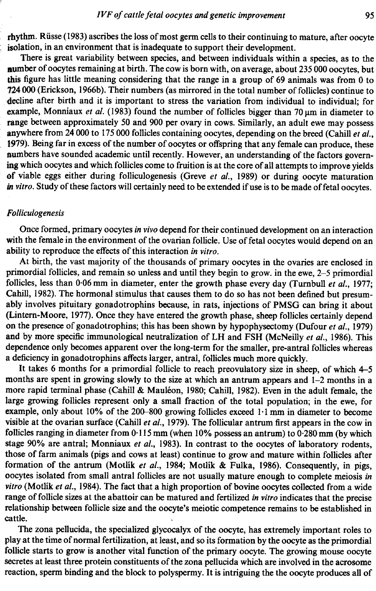rhythm. Rüsse (1983) ascribes the loss of most germ cells to their continuing to mature, after oocyte isolation, in an environment that is inadequate to support their development.

There is great variability between species, and between individuals within a species, as to the number of oocytes remaining at birth. The cow is born with, on average, about 235 000 oocytes, but this figure has little meaning considering that the range in a group of 69 animals was from 0 to 724 000 (Erickson, 1966b). Their numbers (as mirrored in the total numberoffollicles) continue to 'decline after birth and it is important to stress the variation from individual to individual; for example, Monniaux et al. (1983) found the number of follicles bigger than 70  $\mu$ m in diameter to range between approximately 50 and 900 per ovary in cows. Similarly, an adult ewe may possess anywhere from  $24\,000$  to 175 000 follicles containing oocytes, depending on the breed (Cahill et al., 1979). Being far in excess of the number of oocytes or offspring that any female can produce, these numbers have sounded academic until recently. However, an understanding of the factors governing which oocytes and which follicles come to fruition is at the core of all attempts to improve yields of viable eggs either during folliculogenesis (Greve et al., 1989) or during oocyte maturation in vitro. Study of these factors will certainly need to be extended if use is to be made of fetal oocytes.

## Folliculogenesis

Once formed, primary oocytes in vivo depend for their continued development on an interaction with the female in the environment of the ovarian follicle. Use of fetal oocytes would depend on an ability to reproduce the effects of this interaction in vitro.

At birth, the vast majority of the thousands of primary oocytes in the ovaries are enclosed in primordial follicles, and remain so unless and until they begin to grow.in the ewe, 2-5 primordial follicles, less than 0.06 mm in diameter, enter the growth phase every day (Turnbull et al., 1977; Cahill, 1982). The hormonal stimulus that causes them to do so has not been defined but presumably involves pituitary gonadotrophins because, in rats, injections of PMSG can bring it about (Lintern-Moore, 1977). Once they have entered the growth phase, sheep follicles certainly depend on the presence of gonadotrophins; this has been shown by hypophysectomy (Dufour et al., 1979) and by more specific immunological neutralization of LH and FSH (McNeilly et al., 1986). This dependence only becomes apparent over the long-term for the smaller, pre-antral follicles whereas a deficiency in gonadotrophins affects larger, antral, follicles much more quickly.

It takes 6 months for a primordial follicle to reach preovulatory size in sheep, of which 4–5 months are spent in growing slowly to the size at which an antrum appears and  $1-2$  months in a more rapid terminal phase (Cahill & Mauléon, 1980; Cahill, 1982). Even in the adult female, the large growing follicles represent only a small fraction of the total population; in the ewe, for example, only about  $10\%$  of the 200-800 growing follicles exceed  $1 \cdot 1$  mm in diameter to become visible at the ovarian surface (Cahill *et al.*, 1979). The follicular antrum first appears in the cow in follicles ranging in diameter from  $0.115$  mm (when  $10\%$  possess an antrum) to  $0.280$  mm (by which stage 90% are antral; Monniaux et al., 1983). In contrast to the oocytes of laboratory rodents, those of farm animals (pigs and cows at least) continue to grow and mature within follicles after formation of the antrum (Motlik et al., 1984; Motlik & Fulka, 1986). Consequently, in pigs, oocytes isolated from small antral follicles are not usually mature enough to complete meiosis in vitro (Motlik et al., 1984). The fact that a high proportion of bovine oocytes collected from a wide range of follicle sizes at the abattoir can be matured and fertilized in vitro indicates that the precise relationship between follicle size and the oocyte's meiotic competence remains to be established in cattle.

The zona pellucida, the specialized glycocalyx of the oocyte, has extremely important roles to play at the time of normal fertilization, at least, and so its formation by the oocyte as the primordial follicle starts to grow is another vital function of the primary oocyte. The growing mouse oocyte secretes at least three protein constituents of the zona pellucida which are involved in the acrosome reaction, sperm binding and the block to polyspermy. It is intriguing the the oocyte produces all of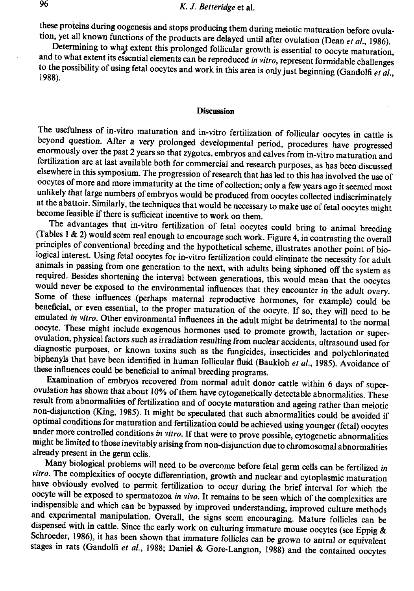these proteins during oogenesis and stops producing them during meiotic maturation before ovulation, yet all known functions of the products are delayed until after ovulation (Dean et al., 1986).<br>Determining to what extent

## **Discussion**

The usefulness of in-virto maturation and in-virto fertilization of follicular occytes in cattle is<br>theyond question. After a very prolonged developmental priod, procedures have progressed<br>constrained in the parameter and

Many biological problems will need to be overcome before fetal germ cells can be fertilized in *vitro*. The complexities of oocyte differentiation, growth and nuclear and cytoplasmic maturation have obviously evolved to p Schroeder, 1986), it has been shown that immature follicles can be grown to antral or equivalent stages in rats (Gandolfi et al., 1988; Daniel & Gore-Langton, 1988) and the contained oocytes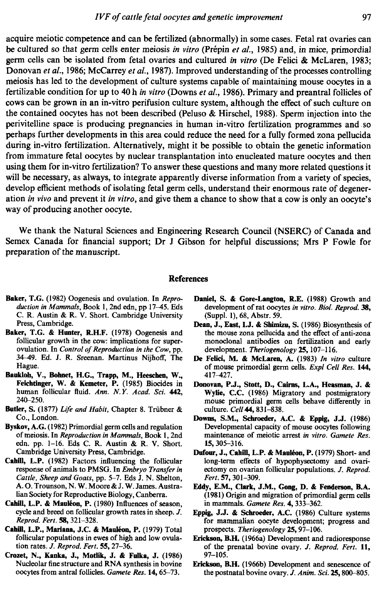acquire meiotic competence and can befertilized (abnormally) in somecases. Fetal rat ovaries can be cultured so that germ cells enter meiosis in vitro (Prépin et al., 1985) and, in mice, primordial germ cells can be isolated from fetal ovaries and cultured in vitro (De Felici & McLaren, 1983; Donovan et al., 1986; McCarrey et al., 1987). Improved understanding of the processes controlling meiosis has led to the development of culture systems capable of maintaining mouse oocytes in a fertilizable condition for up to 40 h in vitro (Downs et al., 1986). Primary and preantral follicles of cows can be grownin an in-vitro perifusion culture system, although the effect of such culture on the contained oocytes has not been described (Peluso  $\&$  Hirschel, 1988). Sperm injection into the perivitelline space is producing pregnancies in human in-vitro fertilization programmes and.so perhaps further developments in this area could reduce the need for a fully formed zona pellucida during in-vitro fertilization. Alternatively, might it be possible to obtain the genetic information from immature fetal oocytes by nuclear transplantation into enucleated mature oocytes and then using them for in-vitro fertilization? To answer these questions and many morerelated questionsit will be necessary, as always, to integrate apparently diverse information from a variety of species, develop efficient methods of isolating fetal germ cells, understand their enormous rate of degeneration in vivo and prevent it in vitro, and give them a chance to show that a cow is only an oocyte's way of producing another oocyte.

We thank the Natural Sciences and Engineering Research Council (NSERC) of Canada and Semex Canada for financial support; Dr <sup>J</sup> Gibson for helpful discussions; Mrs P Fowle for preparation of the manuscript.

### References

- Baker, T.G. (1982) Oogenesis and ovulation. In Reproduction in Mammals, Book 1, 2nd edn, pp 17-45. Eds C. R. Austin & R. V. Short. Cambridge University Press, Cambridge.
- Baker, T.G. & Hunter, R.H.F. (1978) Oogenesis and follicular growth in the cow: implications for superovulation. In Control of Reproduction in the Cow, pp. 34-49. Ed. J. R. Sreenan. Martinus Nijhoff, The Hague.
- Baukloh, V., Bohnet, H.G., Trapp, M., Heeschen, W., Feichtinger, W. & Kemeter, P. (1985) Biocides in human follicular fluid. Ann. N.Y. Acad. Sci. 442, 240-250.
- Butler, S. (1877) Life and Habit, Chapter 8. Trübner & Co., London.
- Byskov, A.G.(1982) Primordial germ cells and regulation of meiosis. In Reproduction in Mammals, Book 1, 2nd edn. pp. 1-16. Eds C. R. Austin & R. V. Short. Cambridge University Press, Cambridge.
- Cahill, L.P. (1982) Factors influencing the follicular response of animals to PMSG. In Embryo Transfer in Cattle, Sheep and Goats, pp. 5-7. Eds J. N. Shelton, A. O. Trounson, N. W. Moore & J. W. James. Australian Society for Reproductive Biology, Canberra.
- Cahill, L.P. & Mauléon, P. (1980) Influences of season, cycle and breed on follicular growth rates in sheep. J. Reprod. Fert. 58, 321-328.
- Cahill, L.P., Mariana, J.C. & Mauléon, P. (1979) Total follicular populations in ewes of high and low ovulation rates. J. Reprod. Fert. 55, 27-36.
- Crozet, N., Kanka, J., Motlik, J. & Fulka, J. (1986) Nucleolar fine structure and RNA synthesis in bovine oocytes from antral follicles. Gamete Res. 14, 65-73.
- Daniel, S. & Gore-Langton, R.E. (1988) Growth and development of rat oocytes in vitro. Biol. Reprod. 38, (Suppl. 1), 68, Abstr. 59.
- Dean, J., East, IJ. & Shimizu, S. (1986) Biosynthesis of the mouse zona pellucida and the effect of anti-zona monocional antibodies on fertilization and early development. Theriogenology 25, 107-116.
- De Felici, M. & McLaren, A. (1983) In vitro culture of mouse primordial germ cells. Expl Cell Res. 144, 417-427.
- Donovan, P.J., Stott, D., Cairns, L.A., Heasman, J. & Wylie, C.C. (1986) Migratory and postmigratory mouse primordial germ cells behave differently in culture. Cell 44, 831-838.
- Downs, S.M., Schroeder, A.C. & Eppig, J.J. (1986) Developmental capacity of mouse oocytes following maintenance of meiotic arrest in vitro. Gamete Res. 15, 305-316.
- Dufour, J., Cahill, L.P. & Mauléon, P. (1979) Short- and long-term effects of hypophysectomy and ovariectomy on ovarian follicular populations. J. Reprod. Fert. 57, 301-309.
- Eddy, E.M., Clark, J.M., Gong, D. & Fenderson, B.A. (1981) Origin and migration of primordial germ cells in mammals. Gamete Res. 4, 333-362.
- Eppig, J.J. & Schroeder, A.C. (1986) Culture systems for mammalian oocyte development; progress and prospects. Theriogenology 25, 97-106.
- Erickson, B.H. (1966a) Development and radioresponse of the prenatal bovine ovary. J. Reprod. Fert. 11, 97-105.
- Erickson, B.H. (1966b) Development and senescence of the postnatal bovine ovary. J. Anim. Sci. 25, 800-805.